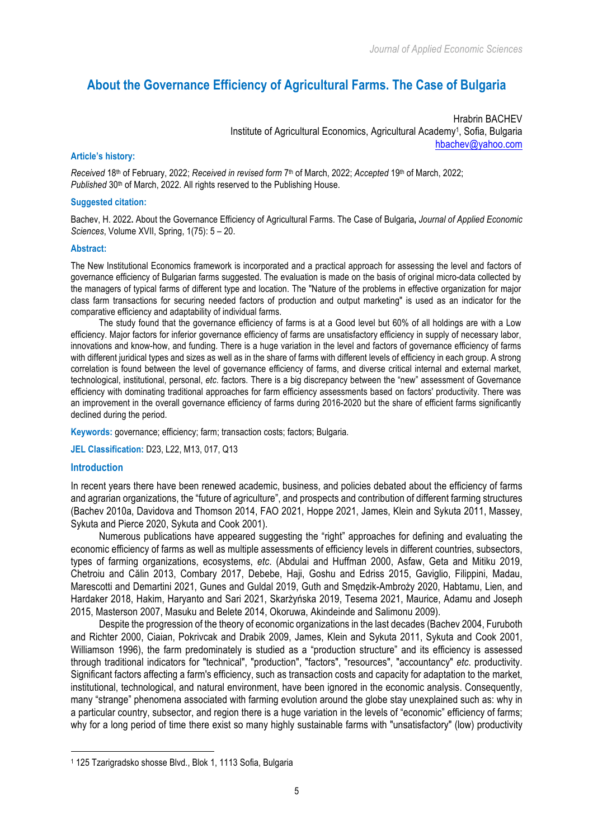# **About the Governance Efficiency of Agricultural Farms. The Case of Bulgaria**

Hrabrin BACHEV Institute of Agricultural Economics, Agricultural Academy<sup>1</sup>, Sofia, Bulgaria hbachev@yahoo.com

### **Article's history:**

*Received* 18th of February, 2022; *Received in revised form* 7th of March, 2022; *Accepted* 19th of March, 2022; *Published* 30<sup>th</sup> of March, 2022. All rights reserved to the Publishing House.

### **Suggested citation:**

Bachev, H. 2022**.** About the Governance Efficiency of Agricultural Farms. The Case of Bulgaria**,** *Journal of Applied Economic Sciences*, Volume XVII, Spring, 1(75): 5 – 20.

### **Abstract:**

The New Institutional Economics framework is incorporated and a practical approach for assessing the level and factors of governance efficiency of Bulgarian farms suggested. The evaluation is made on the basis of original micro-data collected by the managers of typical farms of different type and location. The "Nature of the problems in effective organization for major class farm transactions for securing needed factors of production and output marketing" is used as an indicator for the comparative efficiency and adaptability of individual farms.

The study found that the governance efficiency of farms is at a Good level but 60% of all holdings are with a Low efficiency. Major factors for inferior governance efficiency of farms are unsatisfactory efficiency in supply of necessary labor, innovations and know-how, and funding. There is a huge variation in the level and factors of governance efficiency of farms with different juridical types and sizes as well as in the share of farms with different levels of efficiency in each group. A strong correlation is found between the level of governance efficiency of farms, and diverse critical internal and external market, technological, institutional, personal, *etc*. factors. There is a big discrepancy between the "new" assessment of Governance efficiency with dominating traditional approaches for farm efficiency assessments based on factors' productivity. There was an improvement in the overall governance efficiency of farms during 2016-2020 but the share of efficient farms significantly declined during the period.

**Keywords:** governance; efficiency; farm; transaction costs; factors; Bulgaria.

**JEL Classification:** D23, L22, M13, 017, Q13

### **Introduction**

 $\overline{a}$ 

In recent years there have been renewed academic, business, and policies debated about the efficiency of farms and agrarian organizations, the "future of agriculture", and prospects and contribution of different farming structures (Bachev 2010a, Davidova and Thomson 2014, FAO 2021, Hoppe 2021, James, Klein and Sykuta 2011, Massey, Sykuta and Pierce 2020, Sykuta and Cook 2001).

Numerous publications have appeared suggesting the "right" approaches for defining and evaluating the economic efficiency of farms as well as multiple assessments of efficiency levels in different countries, subsectors, types of farming organizations, ecosystems, *etc*. (Abdulai and Huffman 2000, Asfaw, Geta and Mitiku 2019, Chetroiu and Călin 2013, Combary 2017, Debebe, Haji, Goshu and Edriss 2015, Gaviglio, Filippini, Madau, Marescotti and Demartini 2021, Gunes and Guldal 2019, Guth and Smędzik-Ambroży 2020, Habtamu, Lien, and Hardaker 2018, Hakim, Haryanto and Sari 2021, Skarżyńska 2019, Tesema 2021, Maurice, Adamu and Joseph 2015, Masterson 2007, Masuku and Belete 2014, Okoruwa, Akindeinde and Salimonu 2009).

Despite the progression of the theory of economic organizations in the last decades (Bachev 2004, Furuboth and Richter 2000, Ciaian, Pokrivcak and Drabik 2009, James, Klein and Sykuta 2011, Sykuta and Cook 2001, Williamson 1996), the farm predominately is studied as a "production structure" and its efficiency is assessed through traditional indicators for "technical", "production", "factors", "resources", "accountancy" *etc*. productivity. Significant factors affecting a farm's efficiency, such as transaction costs and capacity for adaptation to the market, institutional, technological, and natural environment, have been ignored in the economic analysis. Consequently, many "strange" phenomena associated with farming evolution around the globe stay unexplained such as: why in a particular country, subsector, and region there is a huge variation in the levels of "economic" efficiency of farms; why for a long period of time there exist so many highly sustainable farms with "unsatisfactory" (low) productivity

<sup>1</sup> 125 Tzarigradsko shosse Blvd., Blok 1, 1113 Sofia, Bulgaria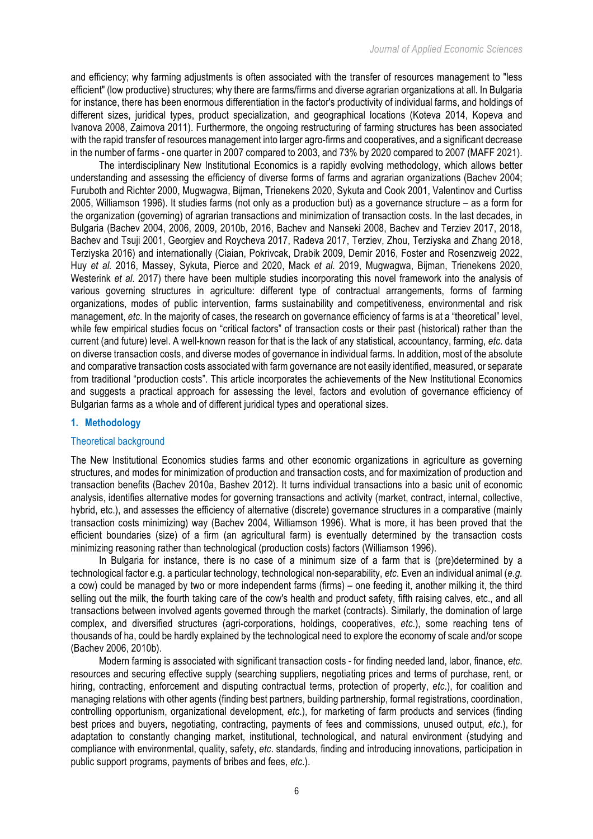and efficiency; why farming adjustments is often associated with the transfer of resources management to "less efficient" (low productive) structures; why there are farms/firms and diverse agrarian organizations at all. In Bulgaria for instance, there has been enormous differentiation in the factor's productivity of individual farms, and holdings of different sizes, juridical types, product specialization, and geographical locations (Koteva 2014, Kopeva and Ivanova 2008, Zaimova 2011). Furthermore, the ongoing restructuring of farming structures has been associated with the rapid transfer of resources management into larger agro-firms and cooperatives, and a significant decrease in the number of farms - one quarter in 2007 compared to 2003, and 73% by 2020 compared to 2007 (MAFF 2021).

The interdisciplinary New Institutional Economics is a rapidly evolving methodology, which allows better understanding and assessing the efficiency of diverse forms of farms and agrarian organizations (Bachev 2004; Furuboth and Richter 2000, Mugwagwa, Bijman, Trienekens 2020, Sykuta and Cook 2001, Valentinov and Curtiss 2005, Williamson 1996). It studies farms (not only as a production but) as a governance structure – as a form for the organization (governing) of agrarian transactions and minimization of transaction costs. In the last decades, in Bulgaria (Bachev 2004, 2006, 2009, 2010b, 2016, Bachev and Nanseki 2008, Bachev and Terziev 2017, 2018, Bachev and Tsuji 2001, Georgiev and Roycheva 2017, Radeva 2017, Terziev, Zhou, Terziyska and Zhang 2018, Terziyska 2016) and internationally (Ciaian, Pokrivcak, Drabik 2009, Demir 2016, Foster and Rosenzweig 2022, Huy *et al.* 2016, Massey, Sykuta, Pierce and 2020, Mack *et al.* 2019, Mugwagwa, Bijman, Trienekens 2020, Westerink *et al*. 2017) there have been multiple studies incorporating this novel framework into the analysis of various governing structures in agriculture: different type of contractual arrangements, forms of farming organizations, modes of public intervention, farms sustainability and competitiveness, environmental and risk management, *etc*. In the majority of cases, the research on governance efficiency of farms is at a "theoretical" level, while few empirical studies focus on "critical factors" of transaction costs or their past (historical) rather than the current (and future) level. A well-known reason for that is the lack of any statistical, accountancy, farming, *etc*. data on diverse transaction costs, and diverse modes of governance in individual farms. In addition, most of the absolute and comparative transaction costs associated with farm governance are not easily identified, measured, or separate from traditional "production costs". This article incorporates the achievements of the New Institutional Economics and suggests a practical approach for assessing the level, factors and evolution of governance efficiency of Bulgarian farms as a whole and of different juridical types and operational sizes.

## **1. Methodology**

### Theoretical background

The New Institutional Economics studies farms and other economic organizations in agriculture as governing structures, and modes for minimization of production and transaction costs, and for maximization of production and transaction benefits (Bachev 2010a, Bashev 2012). It turns individual transactions into a basic unit of economic analysis, identifies alternative modes for governing transactions and activity (market, contract, internal, collective, hybrid, etc.), and assesses the efficiency of alternative (discrete) governance structures in a comparative (mainly transaction costs minimizing) way (Bachev 2004, Williamson 1996). What is more, it has been proved that the efficient boundaries (size) of a firm (an agricultural farm) is eventually determined by the transaction costs minimizing reasoning rather than technological (production costs) factors (Williamson 1996).

In Bulgaria for instance, there is no case of a minimum size of a farm that is (pre)determined by a technological factor e.g. a particular technology, technological non-separability, *etc*. Even an individual animal (*e.g.* a cow) could be managed by two or more independent farms (firms) – one feeding it, another milking it, the third selling out the milk, the fourth taking care of the cow's health and product safety, fifth raising calves, etc., and all transactions between involved agents governed through the market (contracts). Similarly, the domination of large complex, and diversified structures (agri-corporations, holdings, cooperatives, *etc*.), some reaching tens of thousands of ha, could be hardly explained by the technological need to explore the economy of scale and/or scope (Bachev 2006, 2010b).

Modern farming is associated with significant transaction costs - for finding needed land, labor, finance, *etc*. resources and securing effective supply (searching suppliers, negotiating prices and terms of purchase, rent, or hiring, contracting, enforcement and disputing contractual terms, protection of property, *etc*.), for coalition and managing relations with other agents (finding best partners, building partnership, formal registrations, coordination, controlling opportunism, organizational development, *etc*.), for marketing of farm products and services (finding best prices and buyers, negotiating, contracting, payments of fees and commissions, unused output, *etc*.), for adaptation to constantly changing market, institutional, technological, and natural environment (studying and compliance with environmental, quality, safety, *etc*. standards, finding and introducing innovations, participation in public support programs, payments of bribes and fees, *etc*.).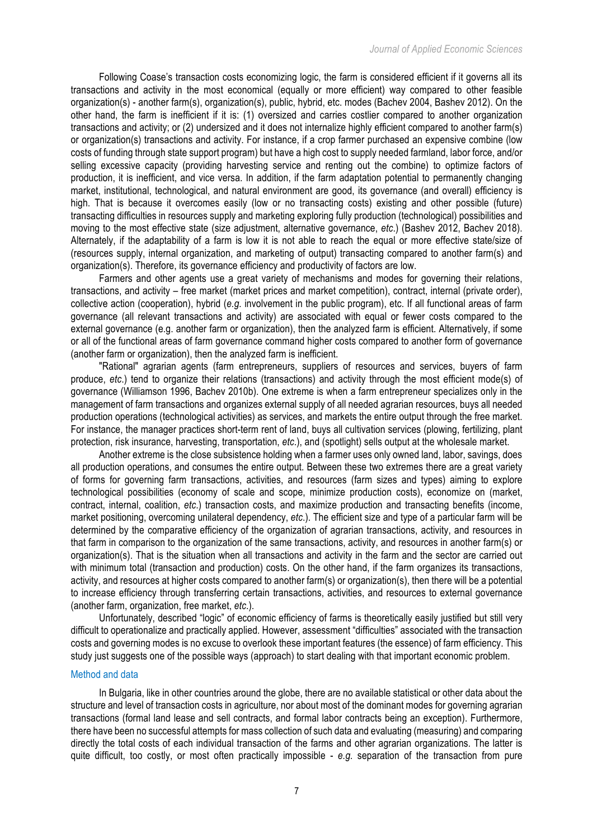Following Coase's transaction costs economizing logic, the farm is considered efficient if it governs all its transactions and activity in the most economical (equally or more efficient) way compared to other feasible organization(s) - another farm(s), organization(s), public, hybrid, etc. modes (Bachev 2004, Bashev 2012). On the other hand, the farm is inefficient if it is: (1) oversized and carries costlier compared to another organization transactions and activity; or (2) undersized and it does not internalize highly efficient compared to another farm(s) or organization(s) transactions and activity. For instance, if a crop farmer purchased an expensive combine (low costs of funding through state support program) but have a high cost to supply needed farmland, labor force, and/or selling excessive capacity (providing harvesting service and renting out the combine) to optimize factors of production, it is inefficient, and vice versa. In addition, if the farm adaptation potential to permanently changing market, institutional, technological, and natural environment are good, its governance (and overall) efficiency is high. That is because it overcomes easily (low or no transacting costs) existing and other possible (future) transacting difficulties in resources supply and marketing exploring fully production (technological) possibilities and moving to the most effective state (size adjustment, alternative governance, *etc*.) (Bashev 2012, Bachev 2018). Alternately, if the adaptability of a farm is low it is not able to reach the equal or more effective state/size of (resources supply, internal organization, and marketing of output) transacting compared to another farm(s) and organization(s). Therefore, its governance efficiency and productivity of factors are low.

Farmers and other agents use a great variety of mechanisms and modes for governing their relations, transactions, and activity – free market (market prices and market competition), contract, internal (private order), collective action (cooperation), hybrid (*e.g.* involvement in the public program), etc. If all functional areas of farm governance (all relevant transactions and activity) are associated with equal or fewer costs compared to the external governance (e.g. another farm or organization), then the analyzed farm is efficient. Alternatively, if some or all of the functional areas of farm governance command higher costs compared to another form of governance (another farm or organization), then the analyzed farm is inefficient.

"Rational" agrarian agents (farm entrepreneurs, suppliers of resources and services, buyers of farm produce, *etc*.) tend to organize their relations (transactions) and activity through the most efficient mode(s) of governance (Williamson 1996, Bachev 2010b). One extreme is when a farm entrepreneur specializes only in the management of farm transactions and organizes external supply of all needed agrarian resources, buys all needed production operations (technological activities) as services, and markets the entire output through the free market. For instance, the manager practices short-term rent of land, buys all cultivation services (plowing, fertilizing, plant protection, risk insurance, harvesting, transportation, *etc*.), and (spotlight) sells output at the wholesale market.

Another extreme is the close subsistence holding when a farmer uses only owned land, labor, savings, does all production operations, and consumes the entire output. Between these two extremes there are a great variety of forms for governing farm transactions, activities, and resources (farm sizes and types) aiming to explore technological possibilities (economy of scale and scope, minimize production costs), economize on (market, contract, internal, coalition, *etc*.) transaction costs, and maximize production and transacting benefits (income, market positioning, overcoming unilateral dependency, *etc*.). The efficient size and type of a particular farm will be determined by the comparative efficiency of the organization of agrarian transactions, activity, and resources in that farm in comparison to the organization of the same transactions, activity, and resources in another farm(s) or organization(s). That is the situation when all transactions and activity in the farm and the sector are carried out with minimum total (transaction and production) costs. On the other hand, if the farm organizes its transactions, activity, and resources at higher costs compared to another farm(s) or organization(s), then there will be a potential to increase efficiency through transferring certain transactions, activities, and resources to external governance (another farm, organization, free market, *etc*.).

Unfortunately, described "logic" of economic efficiency of farms is theoretically easily justified but still very difficult to operationalize and practically applied. However, assessment "difficulties" associated with the transaction costs and governing modes is no excuse to overlook these important features (the essence) of farm efficiency. This study just suggests one of the possible ways (approach) to start dealing with that important economic problem.

### Method and data

In Bulgaria, like in other countries around the globe, there are no available statistical or other data about the structure and level of transaction costs in agriculture, nor about most of the dominant modes for governing agrarian transactions (formal land lease and sell contracts, and formal labor contracts being an exception). Furthermore, there have been no successful attempts for mass collection of such data and evaluating (measuring) and comparing directly the total costs of each individual transaction of the farms and other agrarian organizations. The latter is quite difficult, too costly, or most often practically impossible - *e.g.* separation of the transaction from pure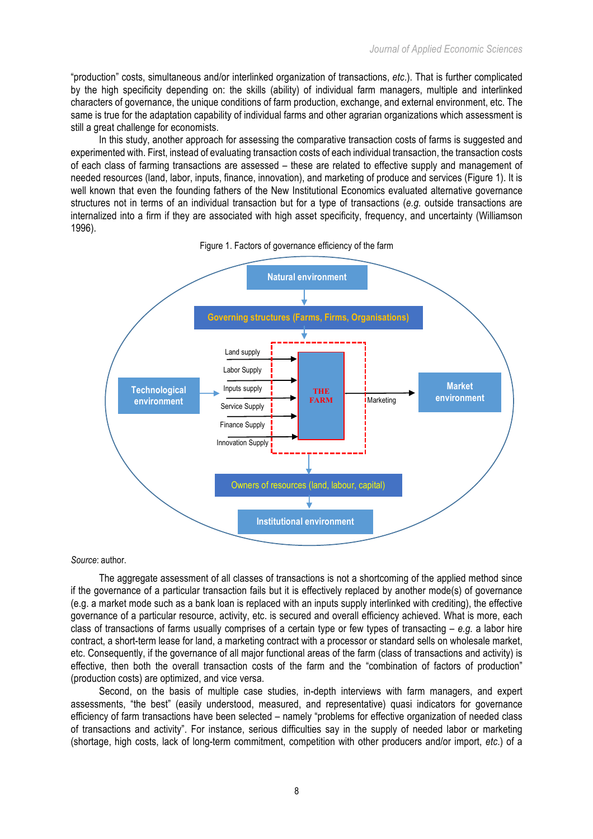"production" costs, simultaneous and/or interlinked organization of transactions, *etc*.). That is further complicated by the high specificity depending on: the skills (ability) of individual farm managers, multiple and interlinked characters of governance, the unique conditions of farm production, exchange, and external environment, etc. The same is true for the adaptation capability of individual farms and other agrarian organizations which assessment is still a great challenge for economists.

In this study, another approach for assessing the comparative transaction costs of farms is suggested and experimented with. First, instead of evaluating transaction costs of each individual transaction, the transaction costs of each class of farming transactions are assessed – these are related to effective supply and management of needed resources (land, labor, inputs, finance, innovation), and marketing of produce and services (Figure 1). It is well known that even the founding fathers of the New Institutional Economics evaluated alternative governance structures not in terms of an individual transaction but for a type of transactions (*e.g.* outside transactions are internalized into a firm if they are associated with high asset specificity, frequency, and uncertainty (Williamson 1996).



Figure 1. Factors of governance efficiency of the farm

#### *Source*: author.

The aggregate assessment of all classes of transactions is not a shortcoming of the applied method since if the governance of a particular transaction fails but it is effectively replaced by another mode(s) of governance (e.g. a market mode such as a bank loan is replaced with an inputs supply interlinked with crediting), the effective governance of a particular resource, activity, etc. is secured and overall efficiency achieved. What is more, each class of transactions of farms usually comprises of a certain type or few types of transacting – *e.g.* a labor hire contract, a short-term lease for land, a marketing contract with a processor or standard sells on wholesale market, etc. Consequently, if the governance of all major functional areas of the farm (class of transactions and activity) is effective, then both the overall transaction costs of the farm and the "combination of factors of production" (production costs) are optimized, and vice versa.

Second, on the basis of multiple case studies, in-depth interviews with farm managers, and expert assessments, "the best" (easily understood, measured, and representative) quasi indicators for governance efficiency of farm transactions have been selected – namely "problems for effective organization of needed class of transactions and activity". For instance, serious difficulties say in the supply of needed labor or marketing (shortage, high costs, lack of long-term commitment, competition with other producers and/or import, *etc*.) of a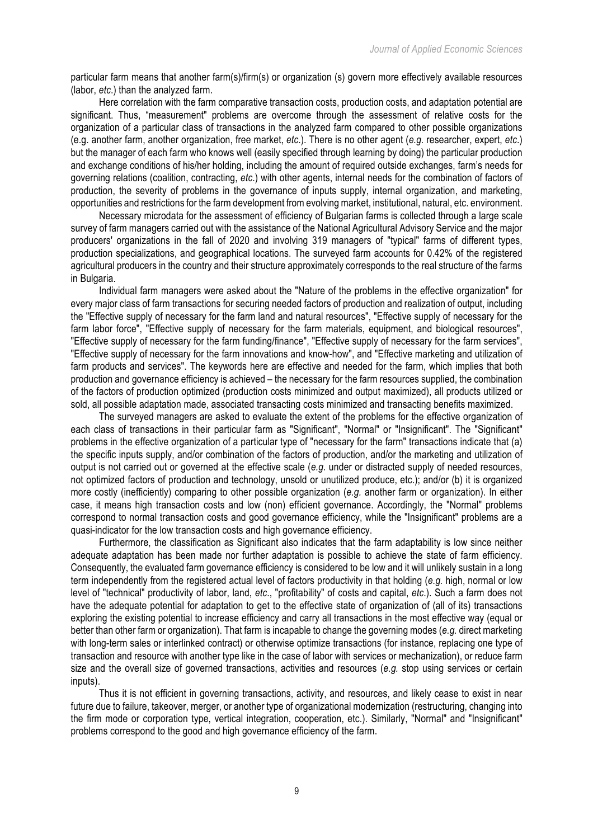particular farm means that another farm(s)/firm(s) or organization (s) govern more effectively available resources (labor, *etc*.) than the analyzed farm.

Here correlation with the farm comparative transaction costs, production costs, and adaptation potential are significant. Thus, "measurement" problems are overcome through the assessment of relative costs for the organization of a particular class of transactions in the analyzed farm compared to other possible organizations (e.g. another farm, another organization, free market, *etc*.). There is no other agent (*e.g.* researcher, expert, *etc*.) but the manager of each farm who knows well (easily specified through learning by doing) the particular production and exchange conditions of his/her holding, including the amount of required outside exchanges, farm's needs for governing relations (coalition, contracting, *etc*.) with other agents, internal needs for the combination of factors of production, the severity of problems in the governance of inputs supply, internal organization, and marketing, opportunities and restrictions for the farm development from evolving market, institutional, natural, etc. environment.

Necessary microdata for the assessment of efficiency of Bulgarian farms is collected through a large scale survey of farm managers carried out with the assistance of the National Agricultural Advisory Service and the major producers' organizations in the fall of 2020 and involving 319 managers of "typical" farms of different types, production specializations, and geographical locations. The surveyed farm accounts for 0.42% of the registered agricultural producers in the country and their structure approximately corresponds to the real structure of the farms in Bulgaria.

Individual farm managers were asked about the "Nature of the problems in the effective organization" for every major class of farm transactions for securing needed factors of production and realization of output, including the "Effective supply of necessary for the farm land and natural resources", "Effective supply of necessary for the farm labor force", "Effective supply of necessary for the farm materials, equipment, and biological resources", "Effective supply of necessary for the farm funding/finance", "Effective supply of necessary for the farm services", "Effective supply of necessary for the farm innovations and know-how", and "Effective marketing and utilization of farm products and services". The keywords here are effective and needed for the farm, which implies that both production and governance efficiency is achieved – the necessary for the farm resources supplied, the combination of the factors of production optimized (production costs minimized and output maximized), all products utilized or sold, all possible adaptation made, associated transacting costs minimized and transacting benefits maximized.

The surveyed managers are asked to evaluate the extent of the problems for the effective organization of each class of transactions in their particular farm as "Significant", "Normal" or "Insignificant". The "Significant" problems in the effective organization of a particular type of "necessary for the farm" transactions indicate that (a) the specific inputs supply, and/or combination of the factors of production, and/or the marketing and utilization of output is not carried out or governed at the effective scale (*e.g.* under or distracted supply of needed resources, not optimized factors of production and technology, unsold or unutilized produce, etc.); and/or (b) it is organized more costly (inefficiently) comparing to other possible organization (*e.g.* another farm or organization). In either case, it means high transaction costs and low (non) efficient governance. Accordingly, the "Normal" problems correspond to normal transaction costs and good governance efficiency, while the "Insignificant" problems are a quasi-indicator for the low transaction costs and high governance efficiency.

Furthermore, the classification as Significant also indicates that the farm adaptability is low since neither adequate adaptation has been made nor further adaptation is possible to achieve the state of farm efficiency. Consequently, the evaluated farm governance efficiency is considered to be low and it will unlikely sustain in a long term independently from the registered actual level of factors productivity in that holding (*e.g.* high, normal or low level of "technical" productivity of labor, land, *etc*., "profitability" of costs and capital, *etc*.). Such a farm does not have the adequate potential for adaptation to get to the effective state of organization of (all of its) transactions exploring the existing potential to increase efficiency and carry all transactions in the most effective way (equal or better than other farm or organization). That farm is incapable to change the governing modes (*e.g.* direct marketing with long-term sales or interlinked contract) or otherwise optimize transactions (for instance, replacing one type of transaction and resource with another type like in the case of labor with services or mechanization), or reduce farm size and the overall size of governed transactions, activities and resources (*e.g.* stop using services or certain inputs).

Thus it is not efficient in governing transactions, activity, and resources, and likely cease to exist in near future due to failure, takeover, merger, or another type of organizational modernization (restructuring, changing into the firm mode or corporation type, vertical integration, cooperation, etc.). Similarly, "Normal" and "Insignificant" problems correspond to the good and high governance efficiency of the farm.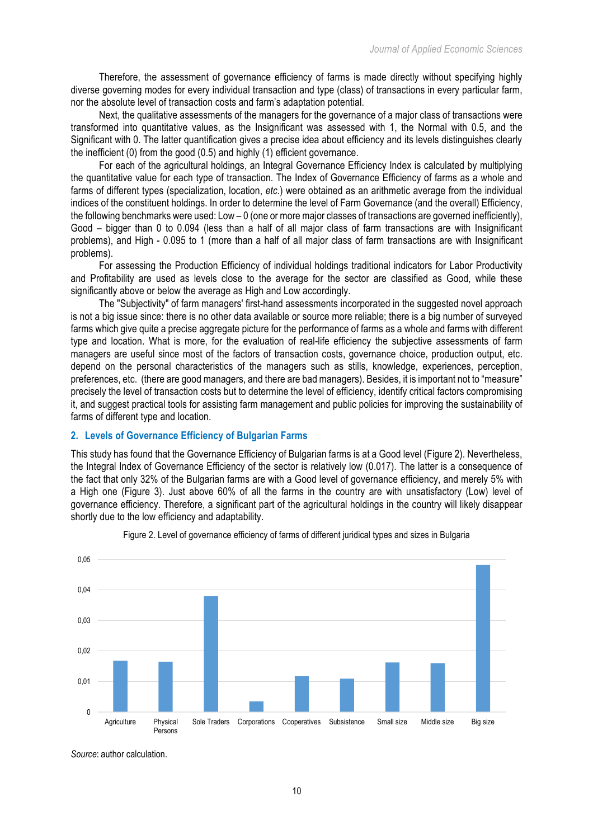Therefore, the assessment of governance efficiency of farms is made directly without specifying highly diverse governing modes for every individual transaction and type (class) of transactions in every particular farm, nor the absolute level of transaction costs and farm's adaptation potential.

Next, the qualitative assessments of the managers for the governance of a major class of transactions were transformed into quantitative values, as the Insignificant was assessed with 1, the Normal with 0.5, and the Significant with 0. The latter quantification gives a precise idea about efficiency and its levels distinguishes clearly the inefficient (0) from the good (0.5) and highly (1) efficient governance.

For each of the agricultural holdings, an Integral Governance Efficiency Index is calculated by multiplying the quantitative value for each type of transaction. The Index of Governance Efficiency of farms as a whole and farms of different types (specialization, location, *etc*.) were obtained as an arithmetic average from the individual indices of the constituent holdings. In order to determine the level of Farm Governance (and the overall) Efficiency, the following benchmarks were used: Low – 0 (one or more major classes of transactions are governed inefficiently), Good – bigger than 0 to 0.094 (less than a half of all major class of farm transactions are with Insignificant problems), and High - 0.095 to 1 (more than a half of all major class of farm transactions are with Insignificant problems).

For assessing the Production Efficiency of individual holdings traditional indicators for Labor Productivity and Profitability are used as levels close to the average for the sector are classified as Good, while these significantly above or below the average as High and Low accordingly.

The "Subjectivity" of farm managers' first-hand assessments incorporated in the suggested novel approach is not a big issue since: there is no other data available or source more reliable; there is a big number of surveyed farms which give quite a precise aggregate picture for the performance of farms as a whole and farms with different type and location. What is more, for the evaluation of real-life efficiency the subjective assessments of farm managers are useful since most of the factors of transaction costs, governance choice, production output, etc. depend on the personal characteristics of the managers such as stills, knowledge, experiences, perception, preferences, etc. (there are good managers, and there are bad managers). Besides, it is important not to "measure" precisely the level of transaction costs but to determine the level of efficiency, identify critical factors compromising it, and suggest practical tools for assisting farm management and public policies for improving the sustainability of farms of different type and location.

### **2. Levels of Governance Efficiency of Bulgarian Farms**

This study has found that the Governance Efficiency of Bulgarian farms is at a Good level (Figure 2). Nevertheless, the Integral Index of Governance Efficiency of the sector is relatively low (0.017). The latter is a consequence of the fact that only 32% of the Bulgarian farms are with a Good level of governance efficiency, and merely 5% with a High one (Figure 3). Just above 60% of all the farms in the country are with unsatisfactory (Low) level of governance efficiency. Therefore, a significant part of the agricultural holdings in the country will likely disappear shortly due to the low efficiency and adaptability.



Figure 2. Level of governance efficiency of farms of different juridical types and sizes in Bulgaria

*Source*: author calculation.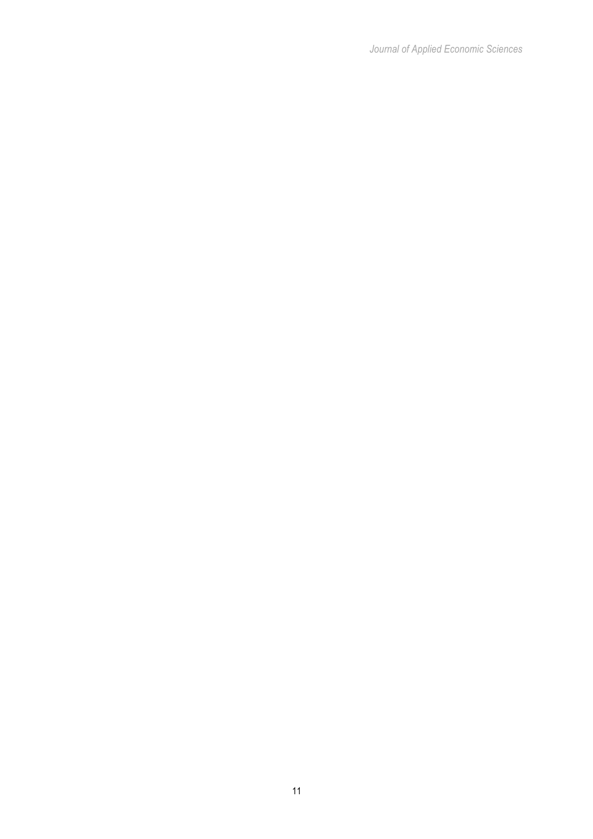*Journal of Applied Economic Sciences*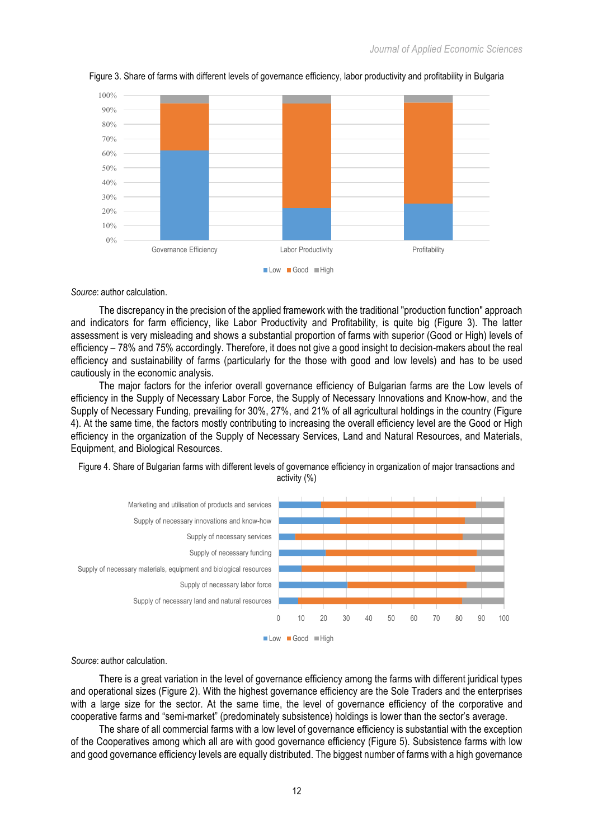

Figure 3. Share of farms with different levels of governance efficiency, labor productivity and profitability in Bulgaria

#### *Source*: author calculation.

The discrepancy in the precision of the applied framework with the traditional "production function" approach and indicators for farm efficiency, like Labor Productivity and Profitability, is quite big (Figure 3). The latter assessment is very misleading and shows a substantial proportion of farms with superior (Good or High) levels of efficiency – 78% and 75% accordingly. Therefore, it does not give a good insight to decision-makers about the real efficiency and sustainability of farms (particularly for the those with good and low levels) and has to be used cautiously in the economic analysis.

The major factors for the inferior overall governance efficiency of Bulgarian farms are the Low levels of efficiency in the Supply of Necessary Labor Force, the Supply of Necessary Innovations and Know-how, and the Supply of Necessary Funding, prevailing for 30%, 27%, and 21% of all agricultural holdings in the country (Figure 4). At the same time, the factors mostly contributing to increasing the overall efficiency level are the Good or High efficiency in the organization of the Supply of Necessary Services, Land and Natural Resources, and Materials, Equipment, and Biological Resources.





*Source*: author calculation.

There is a great variation in the level of governance efficiency among the farms with different juridical types and operational sizes (Figure 2). With the highest governance efficiency are the Sole Traders and the enterprises with a large size for the sector. At the same time, the level of governance efficiency of the corporative and cooperative farms and "semi-market" (predominately subsistence) holdings is lower than the sector's average.

The share of all commercial farms with a low level of governance efficiency is substantial with the exception of the Cooperatives among which all are with good governance efficiency (Figure 5). Subsistence farms with low and good governance efficiency levels are equally distributed. The biggest number of farms with a high governance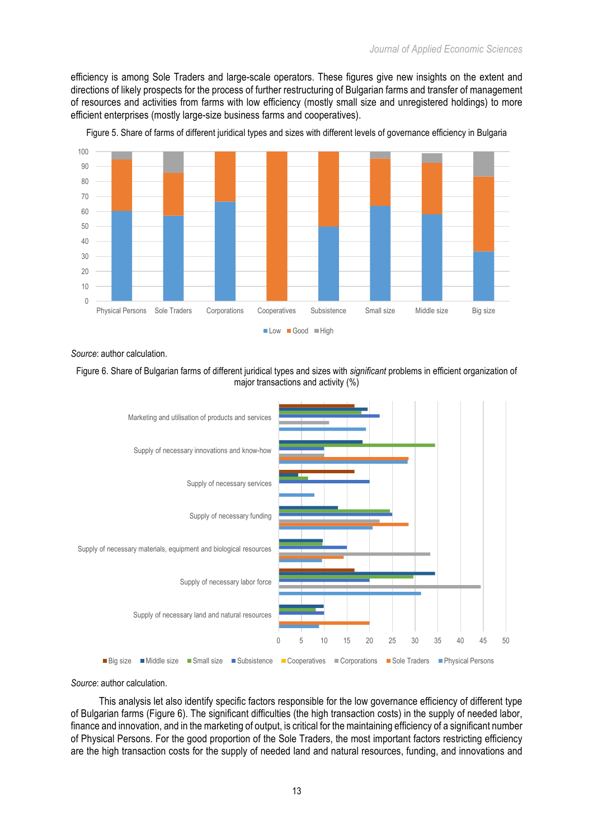efficiency is among Sole Traders and large-scale operators. These figures give new insights on the extent and directions of likely prospects for the process of further restructuring of Bulgarian farms and transfer of management of resources and activities from farms with low efficiency (mostly small size and unregistered holdings) to more efficient enterprises (mostly large-size business farms and cooperatives).



Figure 5. Share of farms of different juridical types and sizes with different levels of governance efficiency in Bulgaria

*Source*: author calculation.





*Source*: author calculation.

This analysis let also identify specific factors responsible for the low governance efficiency of different type of Bulgarian farms (Figure 6). The significant difficulties (the high transaction costs) in the supply of needed labor, finance and innovation, and in the marketing of output, is critical for the maintaining efficiency of a significant number of Physical Persons. For the good proportion of the Sole Traders, the most important factors restricting efficiency are the high transaction costs for the supply of needed land and natural resources, funding, and innovations and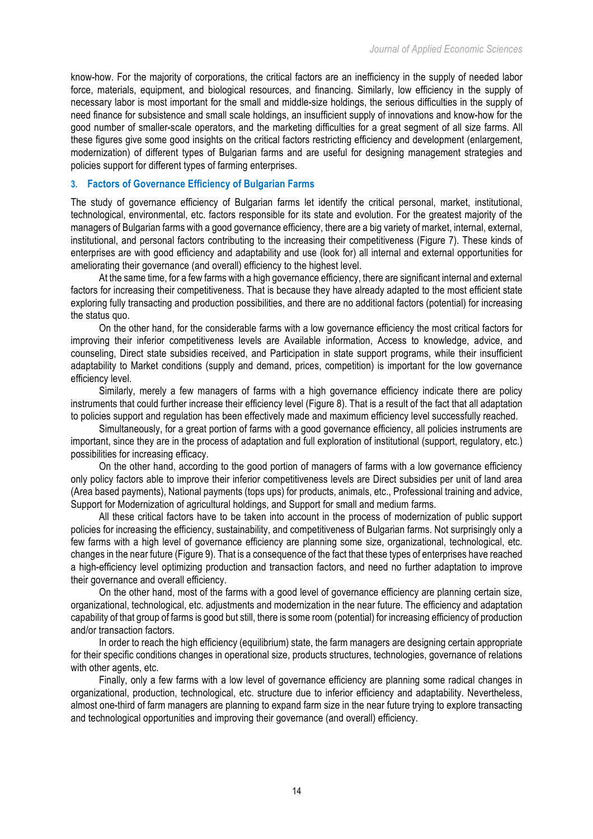know-how. For the majority of corporations, the critical factors are an inefficiency in the supply of needed labor force, materials, equipment, and biological resources, and financing. Similarly, low efficiency in the supply of necessary labor is most important for the small and middle-size holdings, the serious difficulties in the supply of need finance for subsistence and small scale holdings, an insufficient supply of innovations and know-how for the good number of smaller-scale operators, and the marketing difficulties for a great segment of all size farms. All these figures give some good insights on the critical factors restricting efficiency and development (enlargement, modernization) of different types of Bulgarian farms and are useful for designing management strategies and policies support for different types of farming enterprises.

### **3. Factors of Governance Efficiency of Bulgarian Farms**

The study of governance efficiency of Bulgarian farms let identify the critical personal, market, institutional, technological, environmental, etc. factors responsible for its state and evolution. For the greatest majority of the managers of Bulgarian farms with a good governance efficiency, there are a big variety of market, internal, external, institutional, and personal factors contributing to the increasing their competitiveness (Figure 7). These kinds of enterprises are with good efficiency and adaptability and use (look for) all internal and external opportunities for ameliorating their governance (and overall) efficiency to the highest level.

At the same time, for a few farms with a high governance efficiency, there are significant internal and external factors for increasing their competitiveness. That is because they have already adapted to the most efficient state exploring fully transacting and production possibilities, and there are no additional factors (potential) for increasing the status quo.

On the other hand, for the considerable farms with a low governance efficiency the most critical factors for improving their inferior competitiveness levels are Available information, Access to knowledge, advice, and counseling, Direct state subsidies received, and Participation in state support programs, while their insufficient adaptability to Market conditions (supply and demand, prices, competition) is important for the low governance efficiency level.

Similarly, merely a few managers of farms with a high governance efficiency indicate there are policy instruments that could further increase their efficiency level (Figure 8). That is a result of the fact that all adaptation to policies support and regulation has been effectively made and maximum efficiency level successfully reached.

Simultaneously, for a great portion of farms with a good governance efficiency, all policies instruments are important, since they are in the process of adaptation and full exploration of institutional (support, regulatory, etc.) possibilities for increasing efficacy.

On the other hand, according to the good portion of managers of farms with a low governance efficiency only policy factors able to improve their inferior competitiveness levels are Direct subsidies per unit of land area (Area based payments), National payments (tops ups) for products, animals, etc., Professional training and advice, Support for Modernization of agricultural holdings, and Support for small and medium farms.

All these critical factors have to be taken into account in the process of modernization of public support policies for increasing the efficiency, sustainability, and competitiveness of Bulgarian farms. Not surprisingly only a few farms with a high level of governance efficiency are planning some size, organizational, technological, etc. changes in the near future (Figure 9). That is a consequence of the fact that these types of enterprises have reached a high-efficiency level optimizing production and transaction factors, and need no further adaptation to improve their governance and overall efficiency.

On the other hand, most of the farms with a good level of governance efficiency are planning certain size, organizational, technological, etc. adjustments and modernization in the near future. The efficiency and adaptation capability of that group of farms is good but still, there is some room (potential) for increasing efficiency of production and/or transaction factors.

In order to reach the high efficiency (equilibrium) state, the farm managers are designing certain appropriate for their specific conditions changes in operational size, products structures, technologies, governance of relations with other agents, etc.

Finally, only a few farms with a low level of governance efficiency are planning some radical changes in organizational, production, technological, etc. structure due to inferior efficiency and adaptability. Nevertheless, almost one-third of farm managers are planning to expand farm size in the near future trying to explore transacting and technological opportunities and improving their governance (and overall) efficiency.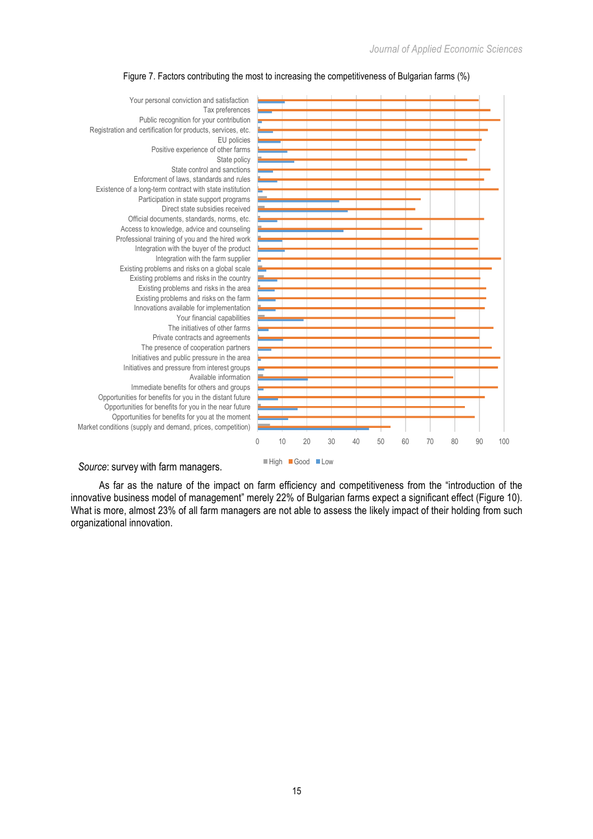

### Figure 7. Factors contributing the most to increasing the competitiveness of Bulgarian farms (%)

As far as the nature of the impact on farm efficiency and competitiveness from the "introduction of the innovative business model of management" merely 22% of Bulgarian farms expect a significant effect (Figure 10). What is more, almost 23% of all farm managers are not able to assess the likely impact of their holding from such organizational innovation.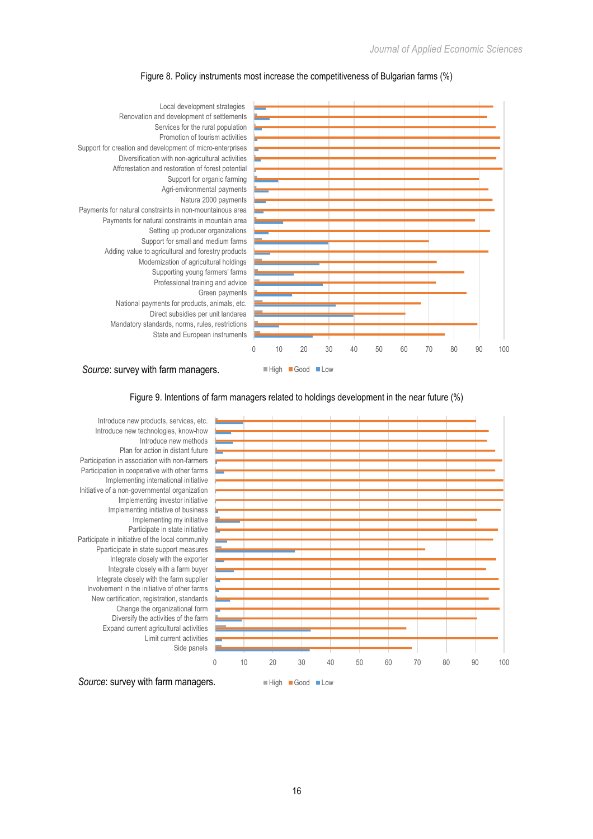

### Figure 8. Policy instruments most increase the competitiveness of Bulgarian farms (%)



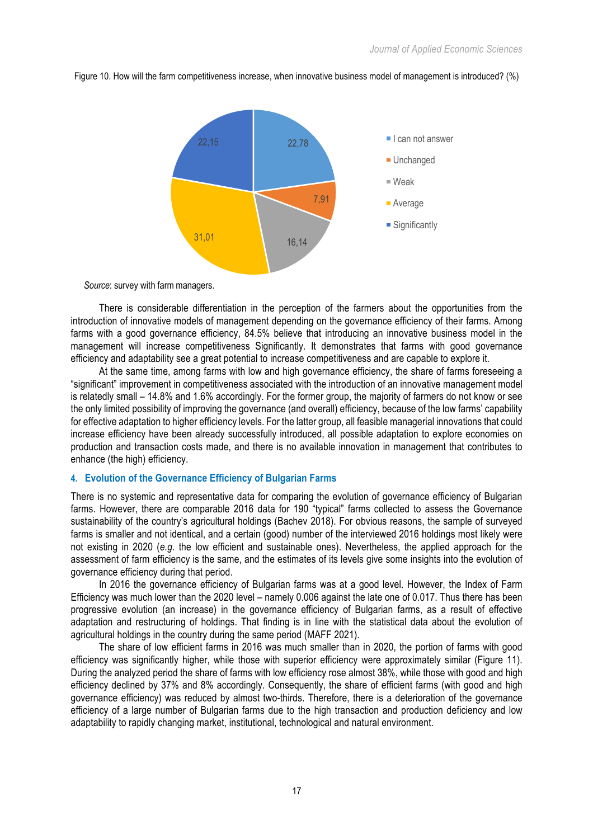

Figure 10. How will the farm competitiveness increase, when innovative business model of management is introduced? (%)

*Source*: survey with farm managers.

There is considerable differentiation in the perception of the farmers about the opportunities from the introduction of innovative models of management depending on the governance efficiency of their farms. Among farms with a good governance efficiency, 84.5% believe that introducing an innovative business model in the management will increase competitiveness Significantly. It demonstrates that farms with good governance efficiency and adaptability see a great potential to increase competitiveness and are capable to explore it.

At the same time, among farms with low and high governance efficiency, the share of farms foreseeing a "significant" improvement in competitiveness associated with the introduction of an innovative management model is relatedly small – 14.8% and 1.6% accordingly. For the former group, the majority of farmers do not know or see the only limited possibility of improving the governance (and overall) efficiency, because of the low farms' capability for effective adaptation to higher efficiency levels. For the latter group, all feasible managerial innovations that could increase efficiency have been already successfully introduced, all possible adaptation to explore economies on production and transaction costs made, and there is no available innovation in management that contributes to enhance (the high) efficiency.

### **4. Evolution of the Governance Efficiency of Bulgarian Farms**

There is no systemic and representative data for comparing the evolution of governance efficiency of Bulgarian farms. However, there are comparable 2016 data for 190 "typical" farms collected to assess the Governance sustainability of the country's agricultural holdings (Bachev 2018). For obvious reasons, the sample of surveyed farms is smaller and not identical, and a certain (good) number of the interviewed 2016 holdings most likely were not existing in 2020 (*e.g.* the low efficient and sustainable ones). Nevertheless, the applied approach for the assessment of farm efficiency is the same, and the estimates of its levels give some insights into the evolution of governance efficiency during that period.

In 2016 the governance efficiency of Bulgarian farms was at a good level. However, the Index of Farm Efficiency was much lower than the 2020 level – namely 0.006 against the late one of 0.017. Thus there has been progressive evolution (an increase) in the governance efficiency of Bulgarian farms, as a result of effective adaptation and restructuring of holdings. That finding is in line with the statistical data about the evolution of agricultural holdings in the country during the same period (MAFF 2021).

The share of low efficient farms in 2016 was much smaller than in 2020, the portion of farms with good efficiency was significantly higher, while those with superior efficiency were approximately similar (Figure 11). During the analyzed period the share of farms with low efficiency rose almost 38%, while those with good and high efficiency declined by 37% and 8% accordingly. Consequently, the share of efficient farms (with good and high governance efficiency) was reduced by almost two-thirds. Therefore, there is a deterioration of the governance efficiency of a large number of Bulgarian farms due to the high transaction and production deficiency and low adaptability to rapidly changing market, institutional, technological and natural environment.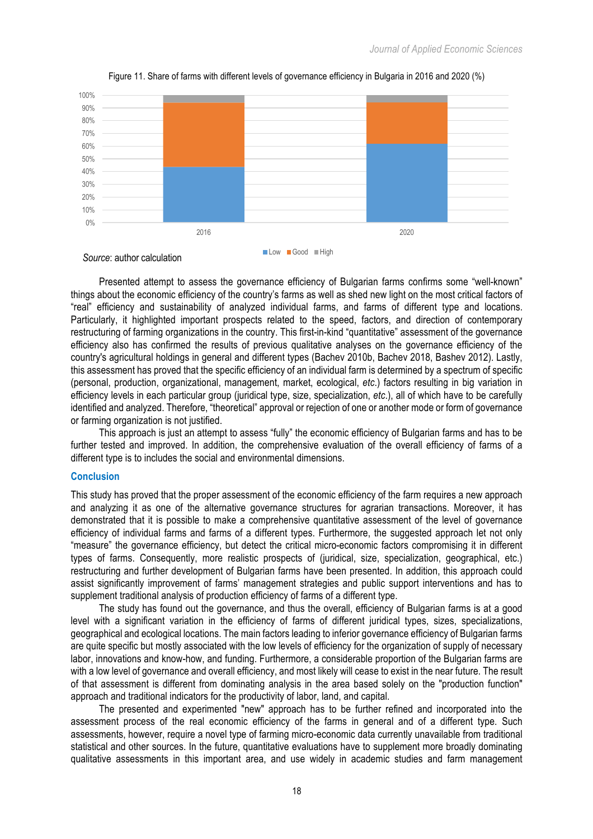

Figure 11. Share of farms with different levels of governance efficiency in Bulgaria in 2016 and 2020 (%)

Presented attempt to assess the governance efficiency of Bulgarian farms confirms some "well-known" things about the economic efficiency of the country's farms as well as shed new light on the most critical factors of "real" efficiency and sustainability of analyzed individual farms, and farms of different type and locations. Particularly, it highlighted important prospects related to the speed, factors, and direction of contemporary restructuring of farming organizations in the country. This first-in-kind "quantitative" assessment of the governance efficiency also has confirmed the results of previous qualitative analyses on the governance efficiency of the country's agricultural holdings in general and different types (Bachev 2010b, Bachev 2018, Bashev 2012). Lastly, this assessment has proved that the specific efficiency of an individual farm is determined by a spectrum of specific (personal, production, organizational, management, market, ecological, *etc*.) factors resulting in big variation in efficiency levels in each particular group (juridical type, size, specialization, *etc*.), all of which have to be carefully identified and analyzed. Therefore, "theoretical" approval or rejection of one or another mode or form of governance or farming organization is not justified.

This approach is just an attempt to assess "fully" the economic efficiency of Bulgarian farms and has to be further tested and improved. In addition, the comprehensive evaluation of the overall efficiency of farms of a different type is to includes the social and environmental dimensions.

### **Conclusion**

This study has proved that the proper assessment of the economic efficiency of the farm requires a new approach and analyzing it as one of the alternative governance structures for agrarian transactions. Moreover, it has demonstrated that it is possible to make a comprehensive quantitative assessment of the level of governance efficiency of individual farms and farms of a different types. Furthermore, the suggested approach let not only "measure" the governance efficiency, but detect the critical micro-economic factors compromising it in different types of farms. Consequently, more realistic prospects of (juridical, size, specialization, geographical, etc.) restructuring and further development of Bulgarian farms have been presented. In addition, this approach could assist significantly improvement of farms' management strategies and public support interventions and has to supplement traditional analysis of production efficiency of farms of a different type.

The study has found out the governance, and thus the overall, efficiency of Bulgarian farms is at a good level with a significant variation in the efficiency of farms of different juridical types, sizes, specializations, geographical and ecological locations. The main factors leading to inferior governance efficiency of Bulgarian farms are quite specific but mostly associated with the low levels of efficiency for the organization of supply of necessary labor, innovations and know-how, and funding. Furthermore, a considerable proportion of the Bulgarian farms are with a low level of governance and overall efficiency, and most likely will cease to exist in the near future. The result of that assessment is different from dominating analysis in the area based solely on the "production function" approach and traditional indicators for the productivity of labor, land, and capital.

The presented and experimented "new" approach has to be further refined and incorporated into the assessment process of the real economic efficiency of the farms in general and of a different type. Such assessments, however, require a novel type of farming micro-economic data currently unavailable from traditional statistical and other sources. In the future, quantitative evaluations have to supplement more broadly dominating qualitative assessments in this important area, and use widely in academic studies and farm management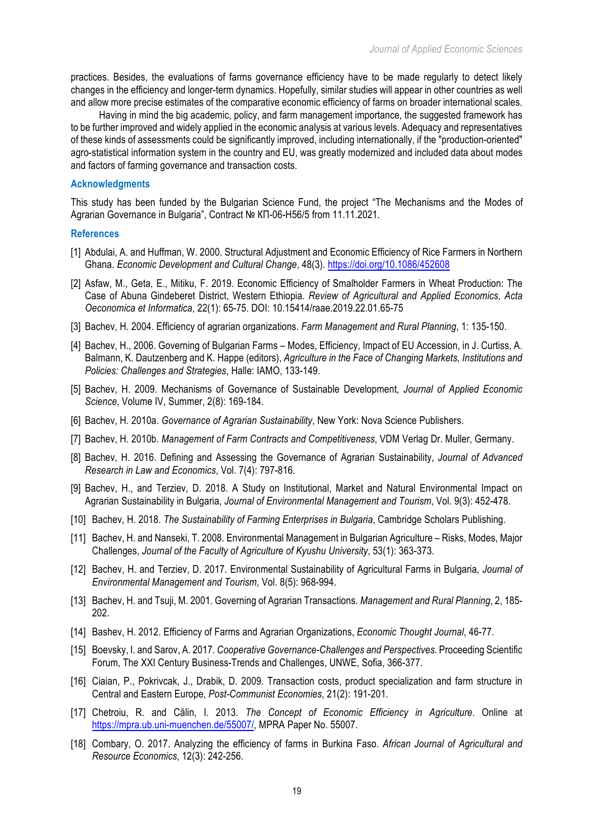practices. Besides, the evaluations of farms governance efficiency have to be made regularly to detect likely changes in the efficiency and longer-term dynamics. Hopefully, similar studies will appear in other countries as well and allow more precise estimates of the comparative economic efficiency of farms on broader international scales.

Having in mind the big academic, policy, and farm management importance, the suggested framework has to be further improved and widely applied in the economic analysis at various levels. Adequacy and representatives of these kinds of assessments could be significantly improved, including internationally, if the "production-oriented" agro-statistical information system in the country and EU, was greatly modernized and included data about modes and factors of farming governance and transaction costs.

### **Acknowledgments**

This study has been funded by the Bulgarian Science Fund, the project "The Mechanisms and the Modes of Agrarian Governance in Bulgaria", Contract № КП-06-Н56/5 from 11.11.2021.

### **References**

- [1] Abdulai, A. and Huffman, W. 2000. Structural Adjustment and Economic Efficiency of Rice Farmers in Northern Ghana. *Economic Development and Cultural Change*, 48(3). https://doi.org/10.1086/452608
- [2] Asfaw, M., Geta, E., Mitiku, F. 2019. Economic Efficiency of Smalholder Farmers in Wheat Production: The Case of Abuna Gindeberet District, Western Ethiopia. *Review of Agricultural and Applied Economics, Acta Oeconomica et Informatica*, 22(1): 65-75. DOI: 10.15414/raae.2019.22.01.65-75
- [3] Bachev, H. 2004. Efficiency of agrarian organizations. *Farm Management and Rural Planning*, 1: 135-150.
- [4] Bachev, H., 2006. Governing of Bulgarian Farms Modes, Efficiency, Impact of EU Accession, in J. Curtiss, A. Balmann, K. Dautzenberg and K. Happe (editors), *Agriculture in the Face of Changing Markets, Institutions and Policies: Challenges and Strategies*, Halle: IAMO, 133-149.
- [5] Bachev, H. 2009. Mechanisms of Governance of Sustainable Development, *Journal of Applied Economic Science*, Volume IV, Summer, 2(8): 169-184.
- [6] Bachev, H. 2010a. *Governance of Agrarian Sustainability*, New York: Nova Science Publishers.
- [7] Bachev, H. 2010b. *Management of Farm Contracts and Competitiveness*, VDM Verlag Dr. Muller, Germany.
- [8] Bachev, H. 2016. Defining and Assessing the Governance of Agrarian Sustainability, *Journal of Advanced Research in Law and Economics*, Vol. 7(4): 797-816.
- [9] Bachev, H., and Terziev, D. 2018. A Study on Institutional, Market and Natural Environmental Impact on Agrarian Sustainability in Bulgaria, *Journal of Environmental Management and Tourism*, Vol. 9(3): 452-478.
- [10] Bachev, H. 2018. *The Sustainability of Farming Enterprises in Bulgaria*, Cambridge Scholars Publishing.
- [11] Bachev, H. and Nanseki, T. 2008. Environmental Management in Bulgarian Agriculture Risks, Modes, Major Challenges, *Journal of the Faculty of Agriculture of Kyushu University*, 53(1): 363-373.
- [12] Bachev, H. and Terziev, D. 2017. Environmental Sustainability of Agricultural Farms in Bulgaria, *Journal of Environmental Management and Tourism,* Vol. 8(5): 968-994.
- [13] Bachev, H. and Tsuji, M. 2001. Governing of Agrarian Transactions. *Management and Rural Planning*, 2, 185- 202.
- [14] Bashev, H. 2012. Efficiency of Farms and Agrarian Organizations, *Economic Thought Journal*, 46-77.
- [15] Boevsky, I. and Sarov, A. 2017. *Cooperative Governance-Challenges and Perspectives*. Proceeding Scientific Forum, The XXI Century Business-Trends and Challenges, UNWE, Sofia, 366-377.
- [16] Ciaian, P., Pokrivcak, J., Drabik, D. 2009. Transaction costs, product specialization and farm structure in Central and Eastern Europe, *Post-Communist Economies*, 21(2): 191-201.
- [17] Chetroiu, R. and Călin, I. 2013. *The Concept of Economic Efficiency in Agriculture*. Online at https://mpra.ub.uni-muenchen.de/55007/, MPRA Paper No. 55007.
- [18] Combary, O. 2017. Analyzing the efficiency of farms in Burkina Faso. *African Journal of Agricultural and Resource Economics*, 12(3): 242-256.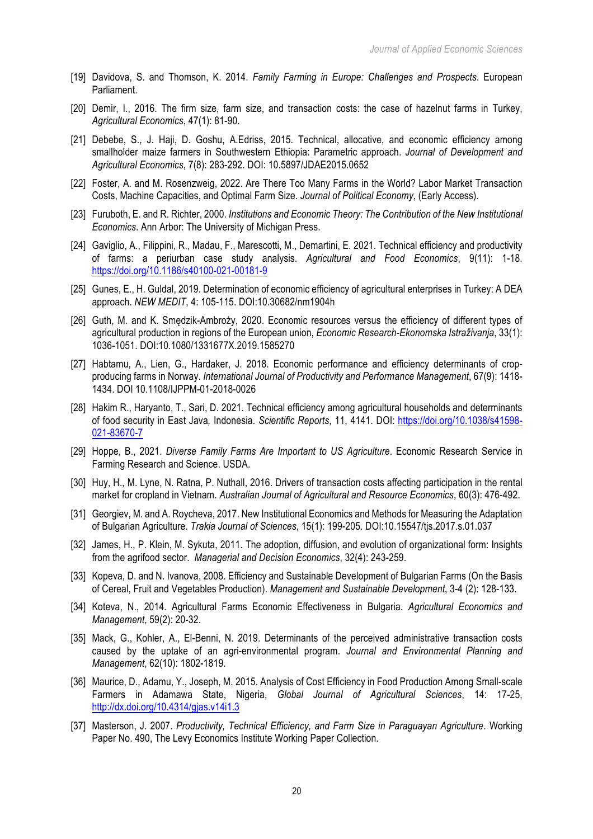- [19] Davidova, S. and Thomson, K. 2014. *Family Farming in Europe: Challenges and Prospects*. European Parliament.
- [20] Demir, I., 2016. The firm size, farm size, and transaction costs: the case of hazelnut farms in Turkey, *Agricultural Economics*, 47(1): 81-90.
- [21] Debebe, S., J. Haji, D. Goshu, A.Edriss, 2015. Technical, allocative, and economic efficiency among smallholder maize farmers in Southwestern Ethiopia: Parametric approach. *Journal of Development and Agricultural Economics*, 7(8): 283-292. DOI: 10.5897/JDAE2015.0652
- [22] Foster, A. and M. Rosenzweig, 2022. Are There Too Many Farms in the World? Labor Market Transaction Costs, Machine Capacities, and Optimal Farm Size. *Journal of Political Economy*, (Early Access).
- [23] Furuboth, E. and R. Richter, 2000. *Institutions and Economic Theory: The Contribution of the New Institutional Economics*. Ann Arbor: The University of Michigan Press.
- [24] Gaviglio, A., Filippini, R., Madau, F., Marescotti, M., Demartini, E. 2021. Technical efficiency and productivity of farms: a periurban case study analysis. *Agricultural and Food Economics*, 9(11): 1-18. https://doi.org/10.1186/s40100-021-00181-9
- [25] Gunes, E., H. Guldal, 2019. Determination of economic efficiency of agricultural enterprises in Turkey: A DEA approach. *NEW MEDIT*, 4: 105-115. DOI:10.30682/nm1904h
- [26] Guth, M. and K. Smędzik-Ambroży, 2020. Economic resources versus the efficiency of different types of agricultural production in regions of the European union, *Economic Research-Ekonomska Istraživanja*, 33(1): 1036-1051. DOI:10.1080/1331677X.2019.1585270
- [27] Habtamu, A., Lien, G., Hardaker, J. 2018. Economic performance and efficiency determinants of cropproducing farms in Norway. *International Journal of Productivity and Performance Management*, 67(9): 1418- 1434. DOI 10.1108/IJPPM-01-2018-0026
- [28] Hakim R., Haryanto, T., Sari, D. 2021. Technical efficiency among agricultural households and determinants of food security in East Java*,* Indonesia. *Scientific Reports*, 11, 4141. DOI: https://doi.org/10.1038/s41598- 021-83670-7
- [29] Hoppe, B., 2021. *Diverse Family Farms Are Important to US Agriculture*. Economic Research Service in Farming Research and Science. USDA.
- [30] Huy, H., M. Lyne, N. Ratna, P. Nuthall, 2016. Drivers of transaction costs affecting participation in the rental market for cropland in Vietnam. *Australian Journal of Agricultural and Resource Economics*, 60(3): 476-492.
- [31] Georgiev, M. and A. Roycheva, 2017. New Institutional Economics and Methods for Measuring the Adaptation of Bulgarian Agriculture. *Trakia Journal of Sciences*, 15(1): 199-205. DOI:10.15547/tjs.2017.s.01.037
- [32] James, H., P. Klein, M. Sykuta, 2011. The adoption, diffusion, and evolution of organizational form: Insights from the agrifood sector. *Managerial and Decision Economics*, 32(4): 243-259.
- [33] Kopeva, D. and N. Ivanova, 2008. Efficiency and Sustainable Development of Bulgarian Farms (On the Basis of Cereal, Fruit and Vegetables Production). *Management and Sustainable Development*, 3-4 (2): 128-133.
- [34] Koteva, N., 2014. Agricultural Farms Economic Effectiveness in Bulgaria. *Agricultural Economics and Management*, 59(2): 20-32.
- [35] Mack, G., Kohler, A., El-Benni, N. 2019. Determinants of the perceived administrative transaction costs caused by the uptake of an agri-environmental program. *Journal and Environmental Planning and Management*, 62(10): 1802-1819.
- [36] Maurice, D., Adamu, Y., Joseph, M. 2015. Analysis of Cost Efficiency in Food Production Among Small-scale Farmers in Adamawa State, Nigeria, *Global Journal of Agricultural Sciences*, 14: 17-25, http://dx.doi.org/10.4314/gjas.v14i1.3
- [37] Masterson, J. 2007. *Productivity, Technical Efficiency, and Farm Size in Paraguayan Agriculture*. Working Paper No. 490, The Levy Economics Institute Working Paper Collection.